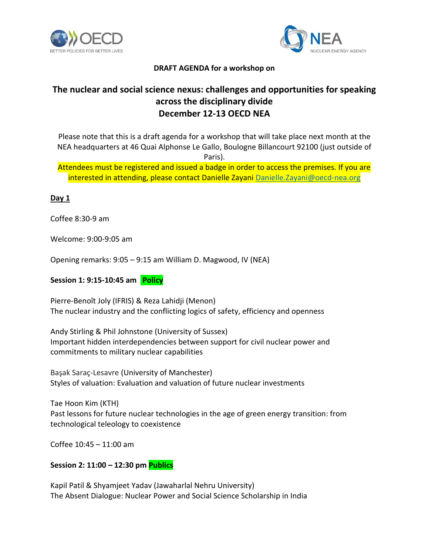



### **DRAFT AGENDA for a workshop on**

# **The nuclear and social science nexus: challenges and opportunities for speaking across the disciplinary divide December 12-13 OECD NEA**

Please note that this is a draft agenda for a workshop that will take place next month at the NEA headquarters at 46 Quai Alphonse Le Gallo, Boulogne Billancourt 92100 (just outside of Paris).

Attendees must be registered and issued a badge in order to access the premises. If you are interested in attending, please contact Danielle Zayani [Danielle.Zayani@oecd-nea.org](mailto:Danielle.Zayani@oecd-nea.org)

### **Day 1**

Coffee 8:30-9 am

Welcome: 9:00-9:05 am

Opening remarks: 9:05 – 9:15 am William D. Magwood, IV (NEA)

#### **Session 1: 9:15-10:45 am Policy**

Pierre-Benoît Joly (IFRIS) & Reza Lahidji (Menon) The nuclear industry and the conflicting logics of safety, efficiency and openness

Andy Stirling & Phil Johnstone (University of Sussex) Important hidden interdependencies between support for civil nuclear power and commitments to military nuclear capabilities

Başak Saraç-Lesavre (University of Manchester) Styles of valuation: Evaluation and valuation of future nuclear investments

Tae Hoon Kim (KTH) Past lessons for future nuclear technologies in the age of green energy transition: from technological teleology to coexistence

Coffee 10:45 – 11:00 am

### **Session 2: 11:00 – 12:30 pm Publics**

Kapil Patil & Shyamjeet Yadav (Jawaharlal Nehru University) The Absent Dialogue: Nuclear Power and Social Science Scholarship in India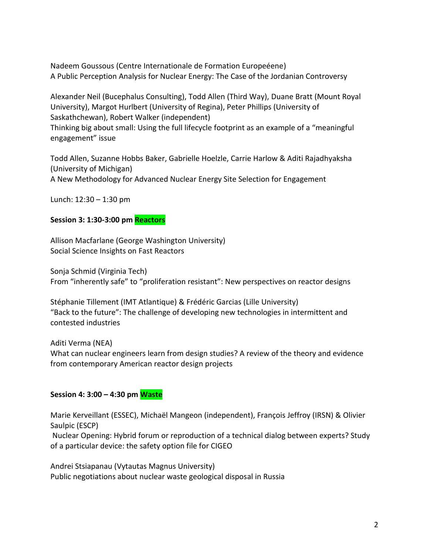Nadeem Goussous (Centre Internationale de Formation Europeéene) A Public Perception Analysis for Nuclear Energy: The Case of the Jordanian Controversy

Alexander Neil (Bucephalus Consulting), Todd Allen (Third Way), Duane Bratt (Mount Royal University), Margot Hurlbert (University of Regina), Peter Phillips (University of Saskathchewan), Robert Walker (independent) Thinking big about small: Using the full lifecycle footprint as an example of a "meaningful engagement" issue

Todd Allen, Suzanne Hobbs Baker, Gabrielle Hoelzle, Carrie Harlow & Aditi Rajadhyaksha (University of Michigan) A New Methodology for Advanced Nuclear Energy Site Selection for Engagement

Lunch: 12:30 – 1:30 pm

### **Session 3: 1:30-3:00 pm Reactors**

Allison Macfarlane (George Washington University) Social Science Insights on Fast Reactors

Sonja Schmid (Virginia Tech) From "inherently safe" to "proliferation resistant": New perspectives on reactor designs

Stéphanie Tillement (IMT Atlantique) & Frédéric Garcias (Lille University) "Back to the future": The challenge of developing new technologies in intermittent and contested industries

Aditi Verma (NEA) What can nuclear engineers learn from design studies? A review of the theory and evidence from contemporary American reactor design projects

### **Session 4: 3:00 – 4:30 pm Waste**

Marie Kerveillant (ESSEC), Michaël Mangeon (independent), François Jeffroy (IRSN) & Olivier Saulpic (ESCP)

Nuclear Opening: Hybrid forum or reproduction of a technical dialog between experts? Study of a particular device: the safety option file for CIGEO

Andrei Stsiapanau (Vytautas Magnus University) Public negotiations about nuclear waste geological disposal in Russia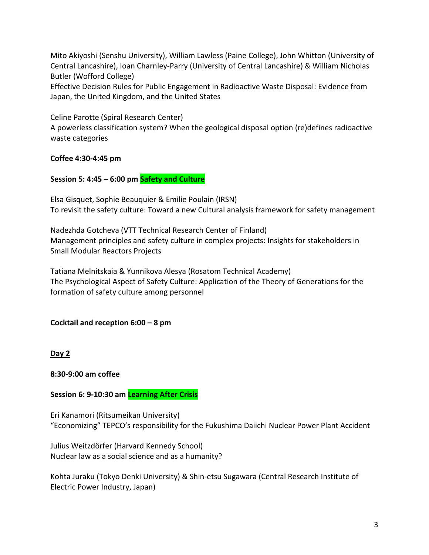Mito Akiyoshi (Senshu University), William Lawless (Paine College), John Whitton (University of Central Lancashire), Ioan Charnley-Parry (University of Central Lancashire) & William Nicholas Butler (Wofford College)

Effective Decision Rules for Public Engagement in Radioactive Waste Disposal: Evidence from Japan, the United Kingdom, and the United States

Celine Parotte (Spiral Research Center)

A powerless classification system? When the geological disposal option (re)defines radioactive waste categories

# **Coffee 4:30-4:45 pm**

## **Session 5: 4:45 – 6:00 pm Safety and Culture**

Elsa Gisquet, Sophie Beauquier & Emilie Poulain (IRSN) To revisit the safety culture: Toward a new Cultural analysis framework for safety management

Nadezhda Gotcheva (VTT Technical Research Center of Finland) Management principles and safety culture in complex projects: Insights for stakeholders in Small Modular Reactors Projects

Tatiana Melnitskaia & Yunnikova Alesya (Rosatom Technical Academy) The Psychological Aspect of Safety Culture: Application of the Theory of Generations for the formation of safety culture among personnel

### **Cocktail and reception 6:00 – 8 pm**

**Day 2** 

**8:30-9:00 am coffee** 

**Session 6: 9-10:30 am Learning After Crisis**

Eri Kanamori (Ritsumeikan University) "Economizing" TEPCO's responsibility for the Fukushima Daiichi Nuclear Power Plant Accident

Julius Weitzdörfer (Harvard Kennedy School) Nuclear law as a social science and as a humanity?

Kohta Juraku (Tokyo Denki University) & Shin-etsu Sugawara (Central Research Institute of Electric Power Industry, Japan)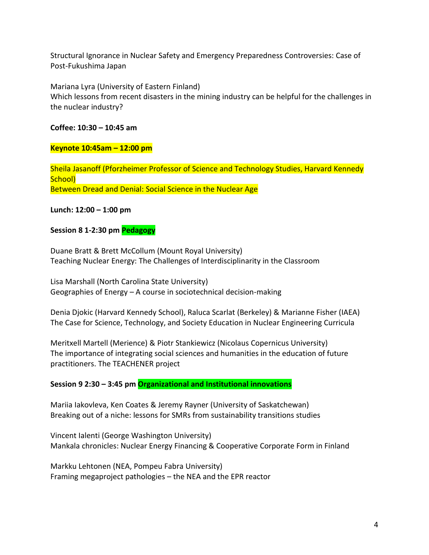Structural Ignorance in Nuclear Safety and Emergency Preparedness Controversies: Case of Post-Fukushima Japan

Mariana Lyra (University of Eastern Finland) Which lessons from recent disasters in the mining industry can be helpful for the challenges in the nuclear industry?

**Coffee: 10:30 – 10:45 am**

### **Keynote 10:45am – 12:00 pm**

Sheila Jasanoff (Pforzheimer Professor of Science and Technology Studies, Harvard Kennedy School) Between Dread and Denial: Social Science in the Nuclear Age

### **Lunch: 12:00 – 1:00 pm**

### **Session 8 1-2:30 pm Pedagogy**

Duane Bratt & Brett McCollum (Mount Royal University) Teaching Nuclear Energy: The Challenges of Interdisciplinarity in the Classroom

Lisa Marshall (North Carolina State University) Geographies of Energy – A course in sociotechnical decision-making

Denia Djokic (Harvard Kennedy School), Raluca Scarlat (Berkeley) & Marianne Fisher (IAEA) The Case for Science, Technology, and Society Education in Nuclear Engineering Curricula

Meritxell Martell (Merience) & Piotr Stankiewicz (Nicolaus Copernicus University) The importance of integrating social sciences and humanities in the education of future practitioners. The TEACHENER project

### **Session 9 2:30 – 3:45 pm Organizational and Institutional innovations**

Mariia Iakovleva, Ken Coates & Jeremy Rayner (University of Saskatchewan) Breaking out of a niche: lessons for SMRs from sustainability transitions studies

Vincent Ialenti (George Washington University) Mankala chronicles: Nuclear Energy Financing & Cooperative Corporate Form in Finland

Markku Lehtonen (NEA, Pompeu Fabra University) Framing megaproject pathologies – the NEA and the EPR reactor